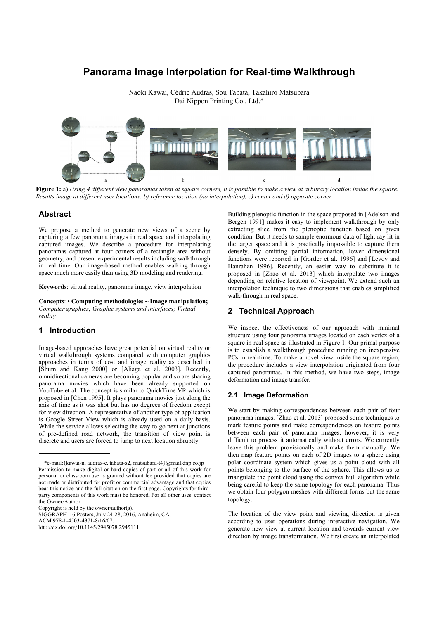# **Panorama Image Interpolation for Real-time Walkthrough**

Naoki Kawai, Cédric Audras, Sou Tabata, Takahiro Matsubara Dai Nippon Printing Co., Ltd.\*



**Figure 1:** a) *Using 4 different view panoramas taken at square corners, it is possible to make a view at arbitrary location inside the square. Results image at different user locations: b) reference location (no interpolation), c) center and d) opposite corner.* 

### **Abstract**

We propose a method to generate new views of a scene by capturing a few panorama images in real space and interpolating captured images. We describe a procedure for interpolating panoramas captured at four corners of a rectangle area without geometry, and present experimental results including walkthrough in real time. Our image-based method enables walking through space much more easily than using 3D modeling and rendering.

**Keywords**: virtual reality, panorama image, view interpolation

**Concepts**: • **Computing methodologies ~ Image manipulation;** *Computer graphics; Graphic systems and interfaces; Virtual reality* 

## **1 Introduction**

Image-based approaches have great potential on virtual reality or virtual walkthrough systems compared with computer graphics approaches in terms of cost and image reality as described in [Shum and Kang 2000] or [Aliaga et al. 2003]. Recently, omnidirectional cameras are becoming popular and so are sharing panorama movies which have been already supported on YouTube et al. The concept is similar to QuickTime VR which is proposed in [Chen 1995]. It plays panorama movies just along the axis of time as it was shot but has no degrees of freedom except for view direction. A representative of another type of application is Google Street View which is already used on a daily basis. While the service allows selecting the way to go next at junctions of pre-defined road network, the transition of view point is discrete and users are forced to jump to next location abruptly.

Copyright is held by the owner/author(s).

SIGGRAPH '16 Posters, July 24-28, 2016, Anaheim, CA,

ACM 978-1-4503-4371-8/16/07.

http://dx.doi.org/10.1145/2945078.2945111

Building plenoptic function in the space proposed in [Adelson and Bergen 1991] makes it easy to implement walkthrough by only extracting slice from the plenoptic function based on given condition. But it needs to sample enormous data of light ray lit in the target space and it is practically impossible to capture them densely. By omitting partial information, lower dimensional functions were reported in [Gortler et al. 1996] and [Levoy and Hanrahan 1996]. Recently, an easier way to substitute it is proposed in [Zhao et al. 2013] which interpolate two images depending on relative location of viewpoint. We extend such an interpolation technique to two dimensions that enables simplified walk-through in real space.

## **2 Technical Approach**

We inspect the effectiveness of our approach with minimal structure using four panorama images located on each vertex of a square in real space as illustrated in Figure 1. Our primal purpose is to establish a walkthrough procedure running on inexpensive PCs in real-time. To make a novel view inside the square region, the procedure includes a view interpolation originated from four captured panoramas. In this method, we have two steps, image deformation and image transfer.

#### **2.1 Image Deformation**

We start by making correspondences between each pair of four panorama images. [Zhao et al. 2013] proposed some techniques to mark feature points and make correspondences on feature points between each pair of panorama images, however, it is very difficult to process it automatically without errors. We currently leave this problem provisionally and make them manually. We then map feature points on each of 2D images to a sphere using polar coordinate system which gives us a point cloud with all points belonging to the surface of the sphere. This allows us to triangulate the point cloud using the convex hull algorithm while being careful to keep the same topology for each panorama. Thus we obtain four polygon meshes with different forms but the same topology.

The location of the view point and viewing direction is given according to user operations during interactive navigation. We generate new view at current location and towards current view direction by image transformation. We first create an interpolated

 <sup>\*</sup>e-mail:{kawai-n, audras-c, tabata-s2, matsubara-t4}@mail.dnp.co.jp Permission to make digital or hard copies of part or all of this work for personal or classroom use is granted without fee provided that copies are not made or distributed for profit or commercial advantage and that copies bear this notice and the full citation on the first page. Copyrights for thirdparty components of this work must be honored. For all other uses, contact the Owner/Author.